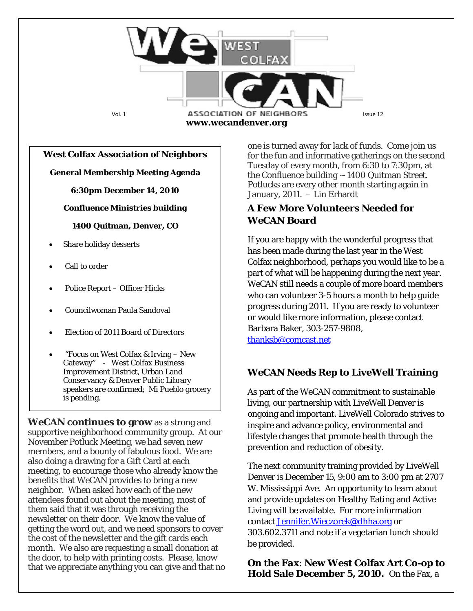

#### **West Colfax Association of Neighbors**

**General Membership Meeting Agenda**

**6:30pm December 14, 2010**

**Confluence Ministries building**

**1400 Quitman, Denver, CO**

- Share holiday desserts
- Call to order
- Police Report Officer Hicks
- Councilwoman Paula Sandoval
- Election of 2011 Board of Directors
- "Focus on West Colfax & Irving New Gateway" - West Colfax Business Improvement District, Urban Land Conservancy & Denver Public Library speakers are confirmed; Mi Pueblo grocery is pending.

*WeCAN* **continues to grow** as a strong and supportive neighborhood community group. At our November Potluck Meeting, we had seven new members, and a bounty of fabulous food. We are also doing a drawing for a Gift Card at each meeting, to encourage those who already know the benefits that *WeCAN* provides to bring a new neighbor. When asked how each of the new attendees found out about the meeting, most of them said that it was through receiving the newsletter on their door. We know the value of getting the word out, and we need sponsors to cover the cost of the newsletter and the gift cards each month. We also are requesting a small donation at the door, to help with printing costs. Please, know that we appreciate anything you can give and that no

one is turned away for lack of funds. Come join us for the fun and informative gatherings on the second Tuesday of every month, from 6:30 to 7:30pm, at the Confluence building  $\sim$  1400 Quitman Street. Potlucks are every other month starting again in January, 2011. – Lin Erhardt

## **A Few More Volunteers Needed for**  *WeCAN* **Board**

If you are happy with the wonderful progress that has been made during the last year in the West Colfax neighborhood, perhaps you would like to be a part of what will be happening during the next year. *WeCAN* still needs a couple of more board members who can volunteer 3-5 hours a month to help guide progress during 2011. If you are ready to volunteer or would like more information, please contact Barbara Baker, 303-257-9808, [thanksb@comcast.net](mailto:thanksb@comcast.net)

### *WeCAN* **Needs Rep to LiveWell Training**

As part of the WeCAN commitment to sustainable living, our partnership with LiveWell Denver is ongoing and important. LiveWell Colorado strives to inspire and advance policy, environmental and lifestyle changes that promote health through the prevention and reduction of obesity.

The next community training provided by LiveWell Denver is December 15, 9:00 am to 3:00 pm at 2707 W. Mississippi Ave. An opportunity to learn about and provide updates on Healthy Eating and Active Living will be available. For more information contact Jennifer. Wieczorek@dhha.org or 303.602.3711 and note if a vegetarian lunch should be provided.

*On the Fax*: **New West Colfax Art Co-op to Hold Sale December 5, 2010.** On the Fax, a